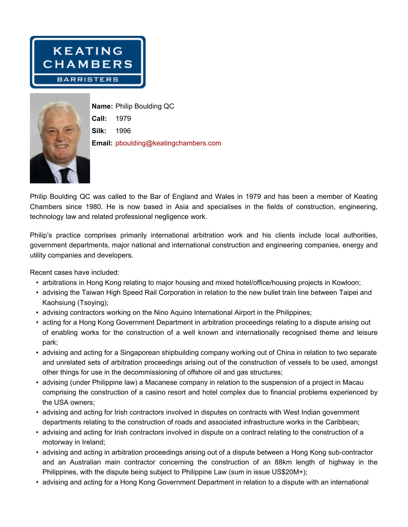



**Name: Philip Boulding QC Call: 1979 Silk: 1996 Email: pboulding@keatingchambers.com**

Philip Boulding QC was called to the Bar of England and Wales in 1979 and has been a member of Keating **Chambers since 1980. He is now based in Asia and specialises in the fields of construction, engineering, technology law and related professional negligence work.**

**Philip's practice comprises primarily international arbitration work and his clients include local authorities, government departments, major national and international construction and engineering companies, energy and utility companies and developers.**

**Recent cases have included:**

- **• arbitrations in Hong Kong relating to major housing and mixed hotel/office/housing projects in Kowloon;**
- advising the Taiwan High Speed Rail Corporation in relation to the new bullet train line between Taipei and **Kaohsiung (Tsoying);**
- **• advising contractors working on the Nino Aquino International Airport in the Philippines;**
- acting for a Hong Kong Government Department in arbitration proceedings relating to a dispute arising out **of enabling works for the construction of a well known and internationally recognised theme and leisure park;**
- advising and acting for a Singaporean shipbuilding company working out of China in relation to two separate and unrelated sets of arbitration proceedings arising out of the construction of vessels to be used, amongst **other things for use in the decommissioning of offshore oil and gas structures;**
- advising (under Philippine law) a Macanese company in relation to the suspension of a project in Macau **comprising the construction of a casino resort and hotel complex due to financial problems experienced by the USA owners;**
- **• advising and acting for Irish contractors involved in disputes on contracts with West Indian government departments relating to the construction of roads and associated infrastructure works in the Caribbean;**
- advising and acting for Irish contractors involved in dispute on a contract relating to the construction of a **motorway in Ireland;**
- advising and acting in arbitration proceedings arising out of a dispute between a Hong Kong sub-contractor **and an Australian main contractor concerning the construction of an 88km length of highway in the Philippines, with the dispute being subject to Philippine Law (sum in issue US\$20M+);**
- advising and acting for a Hong Kong Government Department in relation to a dispute with an international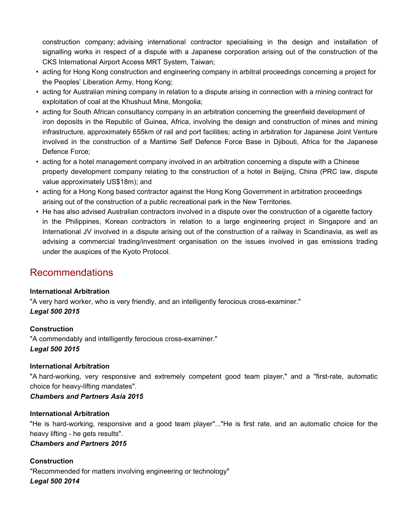**construction company; advising international contractor specialising in the design and installation of** signalling works in respect of a dispute with a Japanese corporation arising out of the construction of the **CKS International Airport Access MRT System, Taiwan;**

- **• acting for Hong Kong construction and engineering company in arbitral proceedings concerning a project for the Peoples' Liberation Army, Hong Kong;**
- acting for Australian mining company in relation to a dispute arising in connection with a mining contract for **exploitation of coal at the Khushuut Mine, Mongolia;**
- **• acting for South African consultancy company in an arbitration concerning the greenfield development of** iron deposits in the Republic of Guinea, Africa, involving the design and construction of mines and mining **infrastructure, approximately 655km of rail and port facilities; acting in arbitration for Japanese Joint Venture involved in the construction of a Maritime Self Defence Force Base in Djibouti, Africa for the Japanese Defence Force;**
- **• acting for a hotel management company involved in an arbitration concerning a dispute with a Chinese property development company relating to the construction of a hotel in Beijing, China (PRC law, dispute value approximately US\$18m); and**
- **• acting for a Hong Kong based contractor against the Hong Kong Government in arbitration proceedings arising out of the construction of a public recreational park in the New Territories.**
- He has also advised Australian contractors involved in a dispute over the construction of a cigarette factory **in the Philippines, Korean contractors in relation to a large engineering project in Singapore and an** International JV involved in a dispute arising out of the construction of a railway in Scandinavia, as well as **advising a commercial trading/investment organisation on the issues involved in gas emissions trading under the auspices of the Kyoto Protocol.**

# **Recommendations**

## **International Arbitration**

**"A very hard worker, who is very friendly, and an intelligently ferocious cross-examiner."** *Legal 500 2015*

## **Construction**

**"A commendably and intelligently ferocious cross-examiner."** *Legal 500 2015*

## **International Arbitration**

**"A hard-working, very responsive and extremely competent good team player," and a "first-rate, automatic choice for heavy-lifting mandates".**

## *Chambers and Partners Asia 2015*

## **International Arbitration**

"He is hard-working, responsive and a good team player"..."He is first rate, and an automatic choice for the **heavy lifting - he gets results".** 

## *Chambers and Partners 2015*

## **Construction**

**"Recommended for matters involving engineering or technology"** *Legal 500 2014*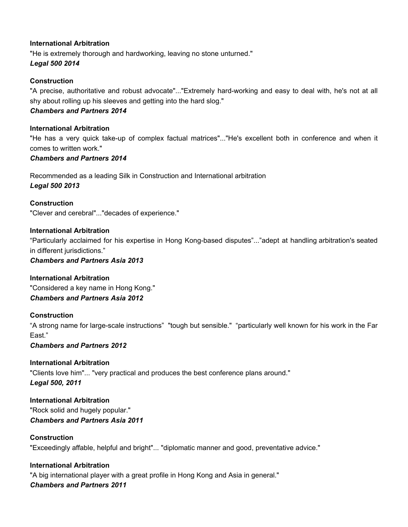## **International Arbitration**

**"He is extremely thorough and hardworking, leaving no stone unturned."** *Legal 500 2014*

## **Construction**

**"A precise, authoritative and robust advocate"..."Extremely hard-working and easy to deal with, he's not at all shy about rolling up his sleeves and getting into the hard slog."**  *Chambers and Partners 2014*

## **International Arbitration**

"He has a very quick take-up of complex factual matrices"..."He's excellent both in conference and when it **comes to written work."**

#### *Chambers and Partners 2014*

**Recommended as a leading Silk in Construction and International arbitration** *Legal 500 2013*

**Construction "Clever and cerebral"..."decades of experience."**

## **International Arbitration**

**"Particularly acclaimed for his expertise in Hong Kong-based disputes"..."adept at handling arbitration's seated in different jurisdictions."**

### *Chambers and Partners Asia 2013*

**International Arbitration "Considered a key name in Hong Kong."** *Chambers and Partners Asia 2012*

## **Construction**

"A strong name for large-scale instructions" "tough but sensible." "particularly well known for his work in the Far **East."**

## *Chambers and Partners 2012*

**International Arbitration "Clients love him"... "very practical and produces the best conference plans around."** *Legal 500, 2011*

**International Arbitration "Rock solid and hugely popular."** *Chambers and Partners Asia 2011*

## **Construction**

**"Exceedingly affable, helpful and bright"... "diplomatic manner and good, preventative advice."** 

## **International Arbitration**

**"A big international player with a great profile in Hong Kong and Asia in general."** *Chambers and Partners 2011*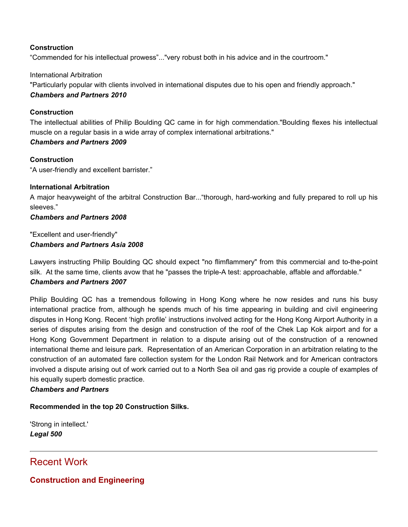#### **Construction**

**"Commended for his intellectual prowess"..."very robust both in his advice and in the courtroom."**

#### **International Arbitration**

**"Particularly popular with clients involved in international disputes due to his open and friendly approach."** *Chambers and Partners 2010*

#### **Construction**

**The intellectual abilities of Philip Boulding QC came in for high commendation."Boulding flexes his intellectual muscle on a regular basis in a wide array of complex international arbitrations."**

## *Chambers and Partners 2009*

#### **Construction**

**"A user-friendly and excellent barrister."**

#### **International Arbitration**

**A major heavyweight of the arbitral Construction Bar..."thorough, hard-working and fully prepared to roll up his sleeves."**

#### *Chambers and Partners 2008*

**"Excellent and user-friendly"** *Chambers and Partners Asia 2008*

**Lawyers instructing Philip Boulding QC should expect "no flimflammery" from this commercial and to-the-point silk. At the same time, clients avow that he "passes the triple-A test: approachable, affable and affordable."** *Chambers and Partners 2007*

**Philip Boulding QC has a tremendous following in Hong Kong where he now resides and runs his busy international practice from, although he spends much of his time appearing in building and civil engineering** disputes in Hong Kong. Recent 'high profile' instructions involved acting for the Hong Kong Airport Authority in a series of disputes arising from the design and construction of the roof of the Chek Lap Kok airport and for a **Hong Kong Government Department in relation to a dispute arising out of the construction of a renowned international theme and leisure park. Representation of an American Corporation in an arbitration relating to the construction of an automated fare collection system for the London Rail Network and for American contractors** involved a dispute arising out of work carried out to a North Sea oil and gas rig provide a couple of examples of **his equally superb domestic practice.**

## *Chambers and Partners*

**Recommended in the top 20 Construction Silks.**

**'Strong in intellect.'** *Legal 500*

# **Recent Work**

**Construction and Engineering**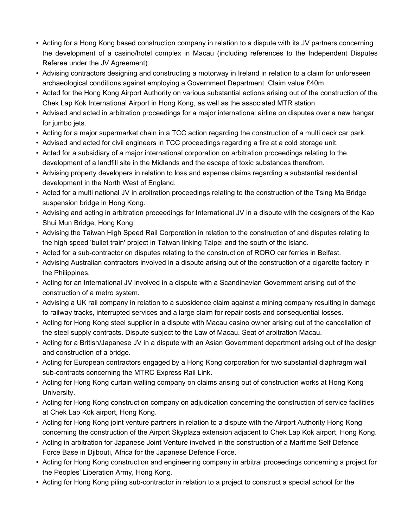- Acting for a Hong Kong based construction company in relation to a dispute with its JV partners concerning **the development of a casino/hotel complex in Macau (including references to the Independent Disputes Referee under the JV Agreement).**
- Advising contractors designing and constructing a motorway in Ireland in relation to a claim for unforeseen **archaeological conditions against employing a Government Department. Claim value £40m.**
- Acted for the Hong Kong Airport Authority on various substantial actions arising out of the construction of the **Chek Lap Kok International Airport in Hong Kong, as well as the associated MTR station.**
- Advised and acted in arbitration proceedings for a major international airline on disputes over a new hangar **for jumbo jets.**
- Acting for a major supermarket chain in a TCC action regarding the construction of a multi deck car park.
- Advised and acted for civil engineers in TCC proceedings regarding a fire at a cold storage unit.
- **• Acted for a subsidiary of a major international corporation on arbitration proceedings relating to the development of a landfill site in the Midlands and the escape of toxic substances therefrom.**
- **• Advising property developers in relation to loss and expense claims regarding a substantial residential development in the North West of England.**
- Acted for a multi national JV in arbitration proceedings relating to the construction of the Tsing Ma Bridge **suspension bridge in Hong Kong.**
- Advising and acting in arbitration proceedings for International JV in a dispute with the designers of the Kap **Shui Mun Bridge, Hong Kong.**
- Advising the Taiwan High Speed Rail Corporation in relation to the construction of and disputes relating to **the high speed 'bullet train' project in Taiwan linking Taipei and the south of the island.**
- **• Acted for a sub-contractor on disputes relating to the construction of RORO car ferries in Belfast.**
- Advising Australian contractors involved in a dispute arising out of the construction of a cigarette factory in **the Philippines.**
- Acting for an International JV involved in a dispute with a Scandinavian Government arising out of the **construction of a metro system.**
- Advising a UK rail company in relation to a subsidence claim against a mining company resulting in damage **to railway tracks, interrupted services and a large claim for repair costs and consequential losses.**
- Acting for Hong Kong steel supplier in a dispute with Macau casino owner arising out of the cancellation of **the steel supply contracts. Dispute subject to the Law of Macau. Seat of arbitration Macau.**
- Acting for a British/Japanese JV in a dispute with an Asian Government department arising out of the design **and construction of a bridge.**
- **• Acting for European contractors engaged by a Hong Kong corporation for two substantial diaphragm wall sub-contracts concerning the MTRC Express Rail Link.**
- Acting for Hong Kong curtain walling company on claims arising out of construction works at Hong Kong **University.**
- **• Acting for Hong Kong construction company on adjudication concerning the construction of service facilities at Chek Lap Kok airport, Hong Kong.**
- Acting for Hong Kong joint venture partners in relation to a dispute with the Airport Authority Hong Kong **concerning the construction of the Airport Skyplaza extension adjacent to Chek Lap Kok airport, Hong Kong.**
- Acting in arbitration for Japanese Joint Venture involved in the construction of a Maritime Self Defence **Force Base in Djibouti, Africa for the Japanese Defence Force.**
- **• Acting for Hong Kong construction and engineering company in arbitral proceedings concerning a project for the Peoples' Liberation Army, Hong Kong.**
- Acting for Hong Kong piling sub-contractor in relation to a project to construct a special school for the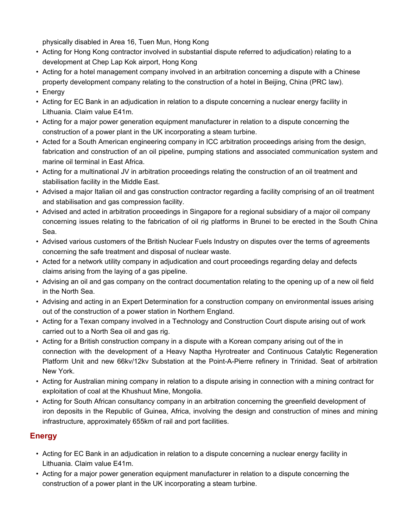**physically disabled in Area 16, Tuen Mun, Hong Kong**

- **• Acting for Hong Kong contractor involved in substantial dispute referred to adjudication) relating to a development at Chep Lap Kok airport, Hong Kong**
- **• Acting for a hotel management company involved in an arbitration concerning a dispute with a Chinese property development company relating to the construction of a hotel in Beijing, China (PRC law).**
- **• Energy**
- Acting for EC Bank in an adjudication in relation to a dispute concerning a nuclear energy facility in **Lithuania. Claim value E41m.**
- **• Acting for a major power generation equipment manufacturer in relation to a dispute concerning the construction of a power plant in the UK incorporating a steam turbine.**
- **• Acted for a South American engineering company in ICC arbitration proceedings arising from the design, fabrication and construction of an oil pipeline, pumping stations and associated communication system and marine oil terminal in East Africa.**
- Acting for a multinational JV in arbitration proceedings relating the construction of an oil treatment and **stabilisation facility in the Middle East.**
- Advised a major Italian oil and gas construction contractor regarding a facility comprising of an oil treatment **and stabilisation and gas compression facility.**
- Advised and acted in arbitration proceedings in Singapore for a regional subsidiary of a major oil company concerning issues relating to the fabrication of oil rig platforms in Brunei to be erected in the South China **Sea.**
- Advised various customers of the British Nuclear Fuels Industry on disputes over the terms of agreements **concerning the safe treatment and disposal of nuclear waste.**
- **• Acted for a network utility company in adjudication and court proceedings regarding delay and defects claims arising from the laying of a gas pipeline.**
- Advising an oil and gas company on the contract documentation relating to the opening up of a new oil field **in the North Sea.**
- **• Advising and acting in an Expert Determination for a construction company on environmental issues arising out of the construction of a power station in Northern England.**
- Acting for a Texan company involved in a Technology and Construction Court dispute arising out of work **carried out to a North Sea oil and gas rig.**
- Acting for a British construction company in a dispute with a Korean company arising out of the in **connection with the development of a Heavy Naptha Hyrotreater and Continuous Catalytic Regeneration Platform Unit and new 66kv/12kv Substation at the Point-A-Pierre refinery in Trinidad. Seat of arbitration New York.**
- Acting for Australian mining company in relation to a dispute arising in connection with a mining contract for **exploitation of coal at the Khushuut Mine, Mongolia.**
- **• Acting for South African consultancy company in an arbitration concerning the greenfield development of** iron deposits in the Republic of Guinea, Africa, involving the design and construction of mines and mining **infrastructure, approximately 655km of rail and port facilities.**

# **Energy**

- Acting for EC Bank in an adjudication in relation to a dispute concerning a nuclear energy facility in **Lithuania. Claim value E41m.**
- **• Acting for a major power generation equipment manufacturer in relation to a dispute concerning the construction of a power plant in the UK incorporating a steam turbine.**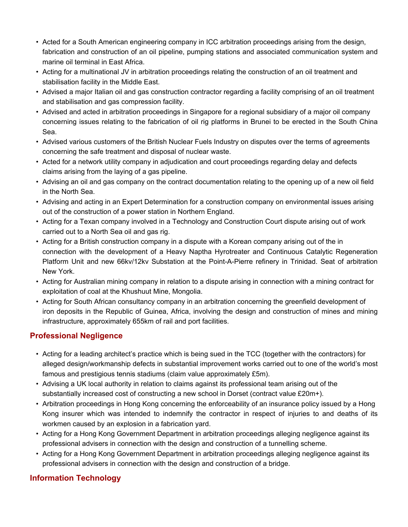- **• Acted for a South American engineering company in ICC arbitration proceedings arising from the design, fabrication and construction of an oil pipeline, pumping stations and associated communication system and marine oil terminal in East Africa.**
- Acting for a multinational JV in arbitration proceedings relating the construction of an oil treatment and **stabilisation facility in the Middle East.**
- Advised a major Italian oil and gas construction contractor regarding a facility comprising of an oil treatment **and stabilisation and gas compression facility.**
- Advised and acted in arbitration proceedings in Singapore for a regional subsidiary of a major oil company concerning issues relating to the fabrication of oil rig platforms in Brunei to be erected in the South China **Sea.**
- Advised various customers of the British Nuclear Fuels Industry on disputes over the terms of agreements **concerning the safe treatment and disposal of nuclear waste.**
- **• Acted for a network utility company in adjudication and court proceedings regarding delay and defects claims arising from the laying of a gas pipeline.**
- Advising an oil and gas company on the contract documentation relating to the opening up of a new oil field **in the North Sea.**
- **• Advising and acting in an Expert Determination for a construction company on environmental issues arising out of the construction of a power station in Northern England.**
- Acting for a Texan company involved in a Technology and Construction Court dispute arising out of work **carried out to a North Sea oil and gas rig.**
- Acting for a British construction company in a dispute with a Korean company arising out of the in **connection with the development of a Heavy Naptha Hyrotreater and Continuous Catalytic Regeneration Platform Unit and new 66kv/12kv Substation at the Point-A-Pierre refinery in Trinidad. Seat of arbitration New York.**
- Acting for Australian mining company in relation to a dispute arising in connection with a mining contract for **exploitation of coal at the Khushuut Mine, Mongolia.**
- **• Acting for South African consultancy company in an arbitration concerning the greenfield development of** iron deposits in the Republic of Guinea, Africa, involving the design and construction of mines and mining **infrastructure, approximately 655km of rail and port facilities.**

# **Professional Negligence**

- Acting for a leading architect's practice which is being sued in the TCC (together with the contractors) for **alleged design/workmanship defects in substantial improvement works carried out to one of the world's most famous and prestigious tennis stadiums (claim value approximately £5m).**
- Advising a UK local authority in relation to claims against its professional team arising out of the **substantially increased cost of constructing a new school in Dorset (contract value £20m+).**
- Arbitration proceedings in Hong Kong concerning the enforceability of an insurance policy issued by a Hong Kong insurer which was intended to indemnify the contractor in respect of injuries to and deaths of its **workmen caused by an explosion in a fabrication yard.**
- **• Acting for a Hong Kong Government Department in arbitration proceedings alleging negligence against its professional advisers in connection with the design and construction of a tunnelling scheme.**
- **• Acting for a Hong Kong Government Department in arbitration proceedings alleging negligence against its professional advisers in connection with the design and construction of a bridge.**

# **Information Technology**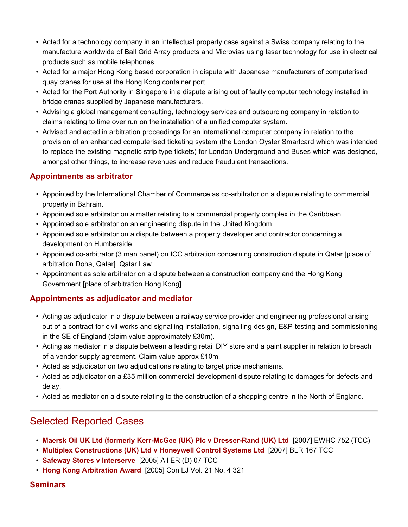- Acted for a technology company in an intellectual property case against a Swiss company relating to the **manufacture worldwide of Ball Grid Array products and Microvias using laser technology for use in electrical products such as mobile telephones.**
- **• Acted for a major Hong Kong based corporation in dispute with Japanese manufacturers of computerised quay cranes for use at the Hong Kong container port.**
- Acted for the Port Authority in Singapore in a dispute arising out of faulty computer technology installed in **bridge cranes supplied by Japanese manufacturers.**
- **• Advising a global management consulting, technology services and outsourcing company in relation to claims relating to time over run on the installation of a unified computer system.**
- **• Advised and acted in arbitration proceedings for an international computer company in relation to the provision of an enhanced computerised ticketing system (the London Oyster Smartcard which was intended to replace the existing magnetic strip type tickets) for London Underground and Buses which was designed, amongst other things, to increase revenues and reduce fraudulent transactions.**

## **Appointments as arbitrator**

- **• Appointed by the International Chamber of Commerce as co-arbitrator on a dispute relating to commercial property in Bahrain.**
- **• Appointed sole arbitrator on a matter relating to a commercial property complex in the Caribbean.**
- **• Appointed sole arbitrator on an engineering dispute in the United Kingdom.**
- **• Appointed sole arbitrator on a dispute between a property developer and contractor concerning a development on Humberside.**
- **• Appointed co-arbitrator (3 man panel) on ICC arbitration concerning construction dispute in Qatar [place of arbitration Doha, Qatar]. Qatar Law.**
- **• Appointment as sole arbitrator on a dispute between a construction company and the Hong Kong Government [place of arbitration Hong Kong].**

## **Appointments as adjudicator and mediator**

- **• Acting as adjudicator in a dispute between a railway service provider and engineering professional arising out of a contract for civil works and signalling installation, signalling design, E&P testing and commissioning in the SE of England (claim value approximately £30m).**
- Acting as mediator in a dispute between a leading retail DIY store and a paint supplier in relation to breach **of a vendor supply agreement. Claim value approx £10m.**
- **• Acted as adjudicator on two adjudications relating to target price mechanisms.**
- Acted as adjudicator on a £35 million commercial development dispute relating to damages for defects and **delay.**
- Acted as mediator on a dispute relating to the construction of a shopping centre in the North of England.

# **Selected Reported Cases**

- **• Maersk Oil UK Ltd (formerly Kerr-McGee (UK) Plc v Dresser-Rand (UK) Ltd [2007] EWHC 752 (TCC)**
- **• Multiplex Constructions (UK) Ltd v Honeywell Control Systems Ltd [2007] BLR 167 TCC**
- **• Safeway Stores v Interserve [2005] All ER (D) 07 TCC**
- **• Hong Kong Arbitration Award [2005] Con LJ Vol. 21 No. 4 321**

## **Seminars**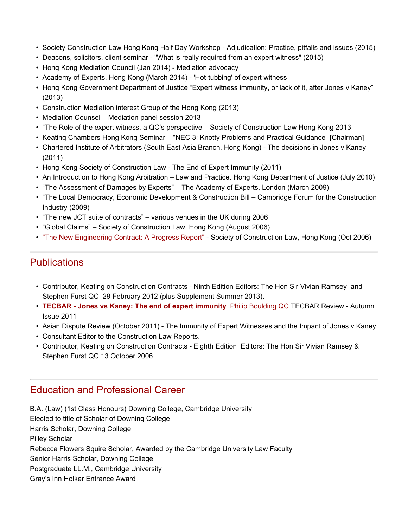- **• Society Construction Law Hong Kong Half Day Workshop - Adjudication: Practice, pitfalls and issues (2015)**
- **• Deacons, solicitors, client seminar - "What is really required from an expert witness" (2015)**
- **• Hong Kong Mediation Council (Jan 2014) - Mediation advocacy**
- **• Academy of Experts, Hong Kong (March 2014) - 'Hot-tubbing' of expert witness**
- Hong Kong Government Department of Justice "Expert witness immunity, or lack of it, after Jones v Kaney" **(2013)**
- **• Construction Mediation interest Group of the Hong Kong (2013)**
- **• Mediation Counsel – Mediation panel session 2013**
- **• "The Role of the expert witness, a QC's perspective – Society of Construction Law Hong Kong 2013**
- **• Keating Chambers Hong Kong Seminar – "NEC 3: Knotty Problems and Practical Guidance" [Chairman]**
- Chartered Institute of Arbitrators (South East Asia Branch, Hong Kong) The decisions in Jones v Kaney **(2011)**
- **• Hong Kong Society of Construction Law - The End of Expert Immunity (2011)**
- An Introduction to Hong Kong Arbitration Law and Practice. Hong Kong Department of Justice (July 2010)
- **• "The Assessment of Damages by Experts" – The Academy of Experts, London (March 2009)**
- **• "The Local Democracy, Economic Development & Construction Bill – Cambridge Forum for the Construction Industry (2009)**
- **• "The new JCT suite of contracts" – various venues in the UK during 2006**
- **• "Global Claims" – Society of Construction Law. Hong Kong (August 2006)**
- **• "The New Engineering Contract: A Progress Report" - Society of Construction Law, Hong Kong (Oct 2006)**

# **Publications**

- **• Contributor, Keating on Construction Contracts - Ninth Edition Editors: The Hon Sir Vivian Ramsey and Stephen Furst QC 29 February 2012 (plus Supplement Summer 2013).**
- **• TECBAR - Jones vs Kaney: The end of expert immunity Philip Boulding QC TECBAR Review - Autumn Issue 2011**
- Asian Dispute Review (October 2011) The Immunity of Expert Witnesses and the Impact of Jones v Kaney
- **• Consultant Editor to the Construction Law Reports.**
- **• Contributor, Keating on Construction Contracts - Eighth Edition Editors: The Hon Sir Vivian Ramsey & Stephen Furst QC 13 October 2006.**

# **Education and Professional Career**

**B.A. (Law) (1st Class Honours) Downing College, Cambridge University Elected to title of Scholar of Downing College Harris Scholar, Downing College Pilley Scholar Rebecca Flowers Squire Scholar, Awarded by the Cambridge University Law Faculty Senior Harris Scholar, Downing College Postgraduate LL.M., Cambridge University Gray's Inn Holker Entrance Award**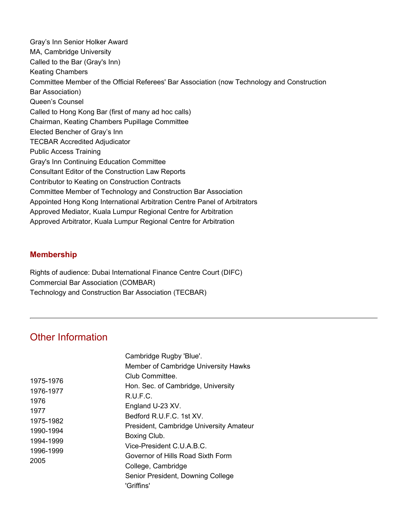**Gray's Inn Senior Holker Award MA, Cambridge University Called to the Bar (Gray's Inn) Keating Chambers Committee Member of the Official Referees' Bar Association (now Technology and Construction Bar Association) Queen's Counsel Called to Hong Kong Bar (first of many ad hoc calls) Chairman, Keating Chambers Pupillage Committee Elected Bencher of Gray's Inn TECBAR Accredited Adjudicator Public Access Training Gray's Inn Continuing Education Committee Consultant Editor of the Construction Law Reports Contributor to Keating on Construction Contracts Committee Member of Technology and Construction Bar Association Appointed Hong Kong International Arbitration Centre Panel of Arbitrators Approved Mediator, Kuala Lumpur Regional Centre for Arbitration Approved Arbitrator, Kuala Lumpur Regional Centre for Arbitration** 

## **Membership**

**Rights of audience: Dubai International Finance Centre Court (DIFC) Commercial Bar Association (COMBAR) Technology and Construction Bar Association (TECBAR)**

# **Other Information**

| Cambridge Rugby 'Blue'.                 |
|-----------------------------------------|
| Member of Cambridge University Hawks    |
| Club Committee.                         |
| Hon. Sec. of Cambridge, University      |
| R.U.F.C.                                |
| England U-23 XV.                        |
| Bedford R.U.F.C. 1st XV.                |
| President, Cambridge University Amateur |
| Boxing Club.                            |
| Vice-President C.U.A.B.C.               |
| Governor of Hills Road Sixth Form       |
| College, Cambridge                      |
| Senior President, Downing College       |
| 'Griffins'                              |
|                                         |